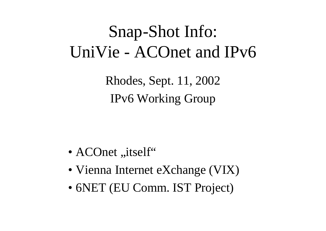## Snap-Shot Info: UniVie - ACOnet and IPv6

Rhodes, Sept. 11, 2002 IPv6 Working Group

- $A$ COnet "itself"
- Vienna Internet eXchange (VIX)
- 6NET (EU Comm. IST Project)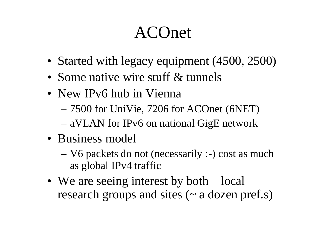### ACOnet

- Started with legacy equipment (4500, 2500)
- Some native wire stuff & tunnels
- New IPv6 hub in Vienna
	- 7500 for UniVie, 7206 for ACOnet (6NET)
	- aVLAN for IPv6 on national GigE network
- Business model
	- V6 packets do not (necessarily :-) cost as much as global IPv4 traffic
- We are seeing interest by both local research groups and sites  $(\sim a$  dozen pref.s)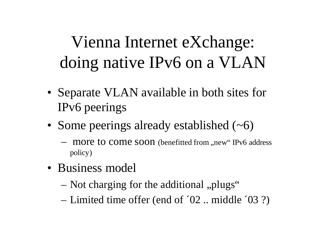# Vienna Internet eXchange: doing native IPv6 on a VLAN

- Separate VLAN available in both sites for IPv6 peerings
- Some peerings already established  $(\sim 6)$ 
	- more to come soon (benefitted from , new "IPv6 address policy)
- Business model
	- Not charging for the additional "plugs"
	- Limited time offer (end of ´02 .. middle ´03 ?)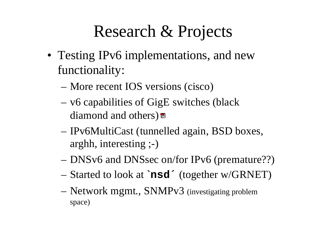#### Research & Projects

- Testing IPv6 implementations, and new functionality:
	- More recent IOS versions (cisco)
	- v6 capabilities of GigE switches (black diamond and others)
	- IPv6MultiCast (tunnelled again, BSD boxes, arghh, interesting ;-)
	- DNSv6 and DNSsec on/for IPv6 (premature??)
	- Started to look at **`nsd´** (together w/GRNET)
	- Network mgmt., SNMPv3 (investigating problem space)